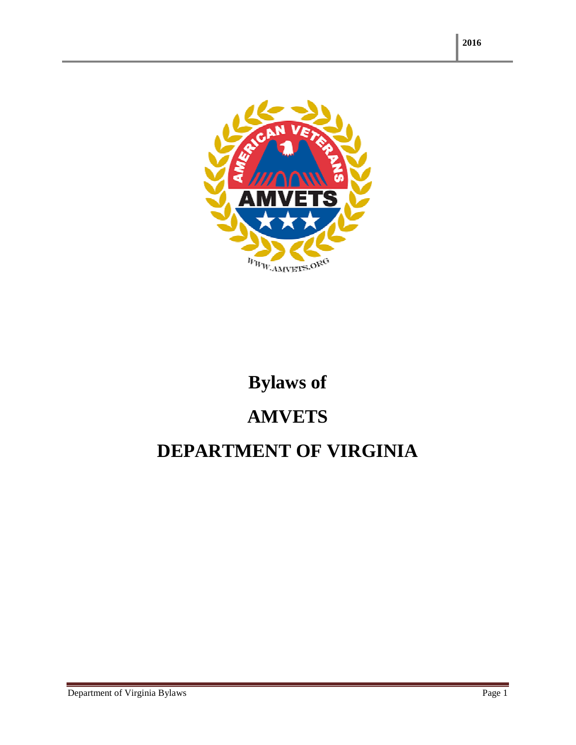

# **Bylaws of AMVETS**

## **DEPARTMENT OF VIRGINIA**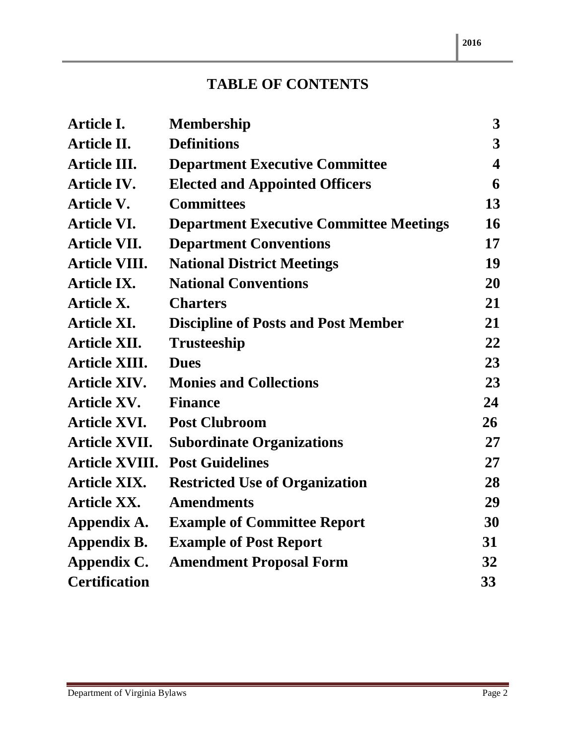### **TABLE OF CONTENTS**

| Article I.            | <b>Membership</b>                              | 3                       |
|-----------------------|------------------------------------------------|-------------------------|
| <b>Article II.</b>    | <b>Definitions</b>                             | 3                       |
| <b>Article III.</b>   | <b>Department Executive Committee</b>          | $\overline{\mathbf{4}}$ |
| <b>Article IV.</b>    | <b>Elected and Appointed Officers</b>          | 6                       |
| <b>Article V.</b>     | <b>Committees</b>                              | 13                      |
| <b>Article VI.</b>    | <b>Department Executive Committee Meetings</b> | 16                      |
| <b>Article VII.</b>   | <b>Department Conventions</b>                  | 17                      |
| <b>Article VIII.</b>  | <b>National District Meetings</b>              | 19                      |
| <b>Article IX.</b>    | <b>National Conventions</b>                    | 20                      |
| <b>Article X.</b>     | <b>Charters</b>                                | 21                      |
| <b>Article XI.</b>    | <b>Discipline of Posts and Post Member</b>     | 21                      |
| <b>Article XII.</b>   | <b>Trusteeship</b>                             | 22                      |
| <b>Article XIII.</b>  | <b>Dues</b>                                    | 23                      |
| <b>Article XIV.</b>   | <b>Monies and Collections</b>                  | 23                      |
| <b>Article XV.</b>    | <b>Finance</b>                                 | 24                      |
| <b>Article XVI.</b>   | <b>Post Clubroom</b>                           | 26                      |
| <b>Article XVII.</b>  | <b>Subordinate Organizations</b>               | 27                      |
| <b>Article XVIII.</b> | <b>Post Guidelines</b>                         | 27                      |
| <b>Article XIX.</b>   | <b>Restricted Use of Organization</b>          | 28                      |
| <b>Article XX.</b>    | <b>Amendments</b>                              | 29                      |
| Appendix A.           | <b>Example of Committee Report</b>             | 30                      |
| Appendix B.           | <b>Example of Post Report</b>                  | 31                      |
| Appendix C.           | <b>Amendment Proposal Form</b>                 | 32                      |
| <b>Certification</b>  |                                                | 33                      |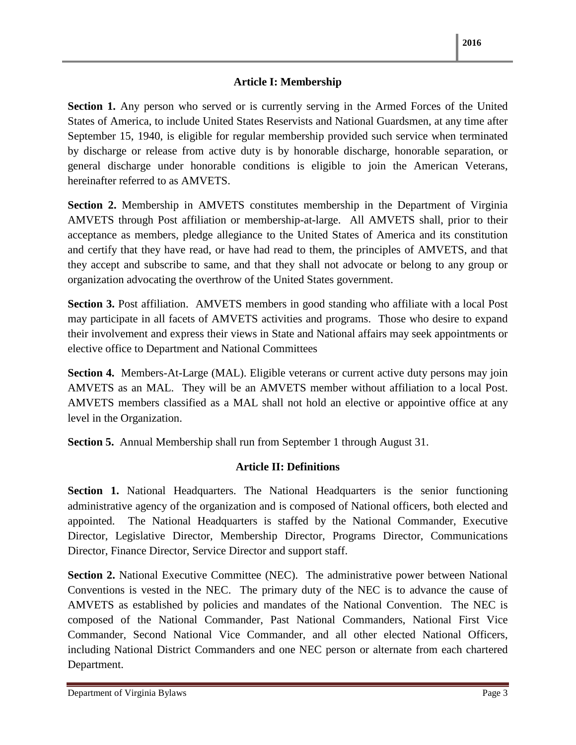#### **Article I: Membership**

**Section 1.** Any person who served or is currently serving in the Armed Forces of the United States of America, to include United States Reservists and National Guardsmen, at any time after September 15, 1940, is eligible for regular membership provided such service when terminated by discharge or release from active duty is by honorable discharge, honorable separation, or general discharge under honorable conditions is eligible to join the American Veterans, hereinafter referred to as AMVETS.

**Section 2.** Membership in AMVETS constitutes membership in the Department of Virginia AMVETS through Post affiliation or membership-at-large. All AMVETS shall, prior to their acceptance as members, pledge allegiance to the United States of America and its constitution and certify that they have read, or have had read to them, the principles of AMVETS, and that they accept and subscribe to same, and that they shall not advocate or belong to any group or organization advocating the overthrow of the United States government.

**Section 3.** Post affiliation. AMVETS members in good standing who affiliate with a local Post may participate in all facets of AMVETS activities and programs. Those who desire to expand their involvement and express their views in State and National affairs may seek appointments or elective office to Department and National Committees

**Section 4.** Members-At-Large (MAL). Eligible veterans or current active duty persons may join AMVETS as an MAL. They will be an AMVETS member without affiliation to a local Post. AMVETS members classified as a MAL shall not hold an elective or appointive office at any level in the Organization.

**Section 5.** Annual Membership shall run from September 1 through August 31.

#### **Article II: Definitions**

**Section 1.** National Headquarters. The National Headquarters is the senior functioning administrative agency of the organization and is composed of National officers, both elected and appointed. The National Headquarters is staffed by the National Commander, Executive Director, Legislative Director, Membership Director, Programs Director, Communications Director, Finance Director, Service Director and support staff.

**Section 2.** National Executive Committee (NEC). The administrative power between National Conventions is vested in the NEC. The primary duty of the NEC is to advance the cause of AMVETS as established by policies and mandates of the National Convention. The NEC is composed of the National Commander, Past National Commanders, National First Vice Commander, Second National Vice Commander, and all other elected National Officers, including National District Commanders and one NEC person or alternate from each chartered Department.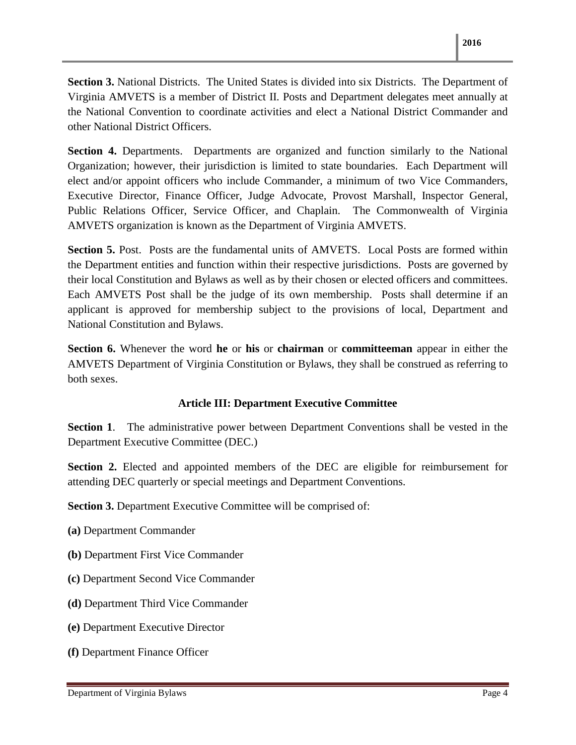**Section 3.** National Districts. The United States is divided into six Districts. The Department of Virginia AMVETS is a member of District II. Posts and Department delegates meet annually at the National Convention to coordinate activities and elect a National District Commander and other National District Officers.

**Section 4.** Departments. Departments are organized and function similarly to the National Organization; however, their jurisdiction is limited to state boundaries. Each Department will elect and/or appoint officers who include Commander, a minimum of two Vice Commanders, Executive Director, Finance Officer, Judge Advocate, Provost Marshall, Inspector General, Public Relations Officer, Service Officer, and Chaplain. The Commonwealth of Virginia AMVETS organization is known as the Department of Virginia AMVETS.

**Section 5.** Post. Posts are the fundamental units of AMVETS. Local Posts are formed within the Department entities and function within their respective jurisdictions. Posts are governed by their local Constitution and Bylaws as well as by their chosen or elected officers and committees. Each AMVETS Post shall be the judge of its own membership. Posts shall determine if an applicant is approved for membership subject to the provisions of local, Department and National Constitution and Bylaws.

**Section 6.** Whenever the word **he** or **his** or **chairman** or **committeeman** appear in either the AMVETS Department of Virginia Constitution or Bylaws, they shall be construed as referring to both sexes.

#### **Article III: Department Executive Committee**

**Section 1**. The administrative power between Department Conventions shall be vested in the Department Executive Committee (DEC.)

**Section 2.** Elected and appointed members of the DEC are eligible for reimbursement for attending DEC quarterly or special meetings and Department Conventions.

**Section 3.** Department Executive Committee will be comprised of:

- **(a)** Department Commander
- **(b)** Department First Vice Commander
- **(c)** Department Second Vice Commander
- **(d)** Department Third Vice Commander
- **(e)** Department Executive Director
- **(f)** Department Finance Officer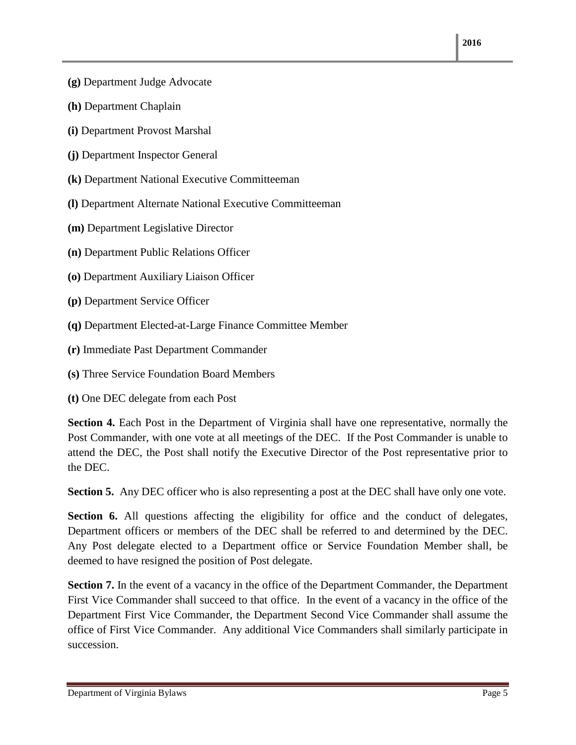- **(g)** Department Judge Advocate
- **(h)** Department Chaplain
- **(i)** Department Provost Marshal
- **(j)** Department Inspector General
- **(k)** Department National Executive Committeeman
- **(l)** Department Alternate National Executive Committeeman
- **(m)** Department Legislative Director
- **(n)** Department Public Relations Officer
- **(o)** Department Auxiliary Liaison Officer
- **(p)** Department Service Officer
- **(q)** Department Elected-at-Large Finance Committee Member
- **(r)** Immediate Past Department Commander
- **(s)** Three Service Foundation Board Members
- **(t)** One DEC delegate from each Post

**Section 4.** Each Post in the Department of Virginia shall have one representative, normally the Post Commander, with one vote at all meetings of the DEC. If the Post Commander is unable to attend the DEC, the Post shall notify the Executive Director of the Post representative prior to the DEC.

**Section 5.** Any DEC officer who is also representing a post at the DEC shall have only one vote.

**Section 6.** All questions affecting the eligibility for office and the conduct of delegates, Department officers or members of the DEC shall be referred to and determined by the DEC. Any Post delegate elected to a Department office or Service Foundation Member shall, be deemed to have resigned the position of Post delegate.

**Section 7.** In the event of a vacancy in the office of the Department Commander, the Department First Vice Commander shall succeed to that office. In the event of a vacancy in the office of the Department First Vice Commander, the Department Second Vice Commander shall assume the office of First Vice Commander. Any additional Vice Commanders shall similarly participate in succession.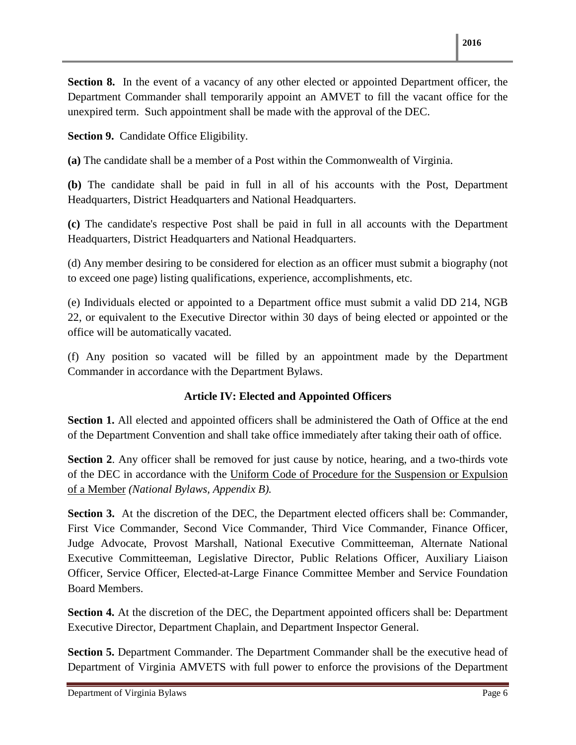**Section 8.** In the event of a vacancy of any other elected or appointed Department officer, the Department Commander shall temporarily appoint an AMVET to fill the vacant office for the unexpired term. Such appointment shall be made with the approval of the DEC.

**Section 9.** Candidate Office Eligibility.

**(a)** The candidate shall be a member of a Post within the Commonwealth of Virginia.

**(b)** The candidate shall be paid in full in all of his accounts with the Post, Department Headquarters, District Headquarters and National Headquarters.

**(c)** The candidate's respective Post shall be paid in full in all accounts with the Department Headquarters, District Headquarters and National Headquarters.

(d) Any member desiring to be considered for election as an officer must submit a biography (not to exceed one page) listing qualifications, experience, accomplishments, etc.

(e) Individuals elected or appointed to a Department office must submit a valid DD 214, NGB 22, or equivalent to the Executive Director within 30 days of being elected or appointed or the office will be automatically vacated.

(f) Any position so vacated will be filled by an appointment made by the Department Commander in accordance with the Department Bylaws.

#### **Article IV: Elected and Appointed Officers**

**Section 1.** All elected and appointed officers shall be administered the Oath of Office at the end of the Department Convention and shall take office immediately after taking their oath of office.

**Section 2.** Any officer shall be removed for just cause by notice, hearing, and a two-thirds vote of the DEC in accordance with the Uniform Code of Procedure for the Suspension or Expulsion of a Member *(National Bylaws, Appendix B).*

**Section 3.** At the discretion of the DEC, the Department elected officers shall be: Commander, First Vice Commander, Second Vice Commander, Third Vice Commander, Finance Officer, Judge Advocate, Provost Marshall, National Executive Committeeman, Alternate National Executive Committeeman, Legislative Director, Public Relations Officer, Auxiliary Liaison Officer, Service Officer, Elected-at-Large Finance Committee Member and Service Foundation Board Members.

**Section 4.** At the discretion of the DEC, the Department appointed officers shall be: Department Executive Director, Department Chaplain, and Department Inspector General.

**Section 5.** Department Commander. The Department Commander shall be the executive head of Department of Virginia AMVETS with full power to enforce the provisions of the Department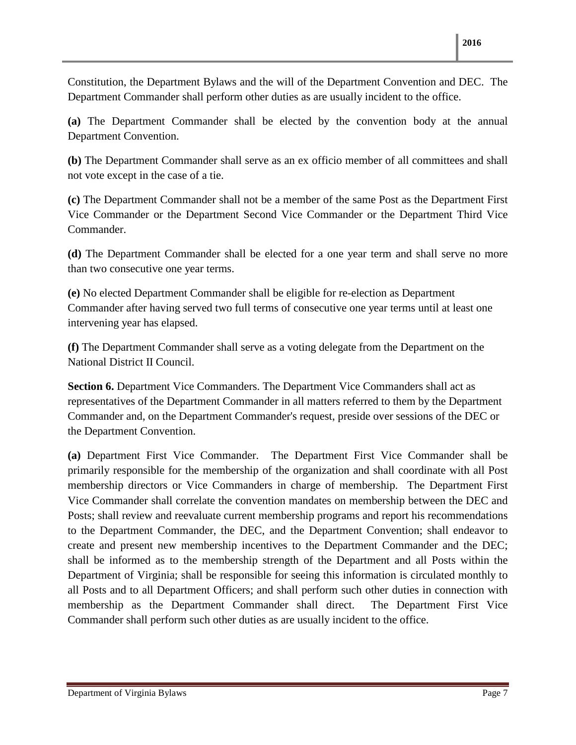Constitution, the Department Bylaws and the will of the Department Convention and DEC. The Department Commander shall perform other duties as are usually incident to the office.

**(a)** The Department Commander shall be elected by the convention body at the annual Department Convention.

**(b)** The Department Commander shall serve as an ex officio member of all committees and shall not vote except in the case of a tie.

**(c)** The Department Commander shall not be a member of the same Post as the Department First Vice Commander or the Department Second Vice Commander or the Department Third Vice Commander.

**(d)** The Department Commander shall be elected for a one year term and shall serve no more than two consecutive one year terms.

**(e)** No elected Department Commander shall be eligible for re-election as Department Commander after having served two full terms of consecutive one year terms until at least one intervening year has elapsed.

**(f)** The Department Commander shall serve as a voting delegate from the Department on the National District II Council.

**Section 6.** Department Vice Commanders. The Department Vice Commanders shall act as representatives of the Department Commander in all matters referred to them by the Department Commander and, on the Department Commander's request, preside over sessions of the DEC or the Department Convention.

**(a)** Department First Vice Commander. The Department First Vice Commander shall be primarily responsible for the membership of the organization and shall coordinate with all Post membership directors or Vice Commanders in charge of membership. The Department First Vice Commander shall correlate the convention mandates on membership between the DEC and Posts; shall review and reevaluate current membership programs and report his recommendations to the Department Commander, the DEC, and the Department Convention; shall endeavor to create and present new membership incentives to the Department Commander and the DEC; shall be informed as to the membership strength of the Department and all Posts within the Department of Virginia; shall be responsible for seeing this information is circulated monthly to all Posts and to all Department Officers; and shall perform such other duties in connection with membership as the Department Commander shall direct. The Department First Vice Commander shall perform such other duties as are usually incident to the office.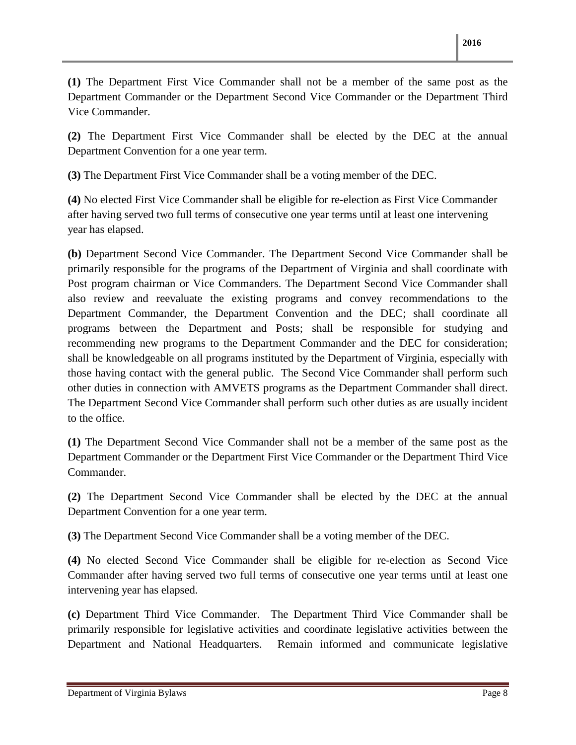**(1)** The Department First Vice Commander shall not be a member of the same post as the Department Commander or the Department Second Vice Commander or the Department Third Vice Commander.

**(2)** The Department First Vice Commander shall be elected by the DEC at the annual Department Convention for a one year term.

**(3)** The Department First Vice Commander shall be a voting member of the DEC.

**(4)** No elected First Vice Commander shall be eligible for re-election as First Vice Commander after having served two full terms of consecutive one year terms until at least one intervening year has elapsed.

**(b)** Department Second Vice Commander. The Department Second Vice Commander shall be primarily responsible for the programs of the Department of Virginia and shall coordinate with Post program chairman or Vice Commanders. The Department Second Vice Commander shall also review and reevaluate the existing programs and convey recommendations to the Department Commander, the Department Convention and the DEC; shall coordinate all programs between the Department and Posts; shall be responsible for studying and recommending new programs to the Department Commander and the DEC for consideration; shall be knowledgeable on all programs instituted by the Department of Virginia, especially with those having contact with the general public. The Second Vice Commander shall perform such other duties in connection with AMVETS programs as the Department Commander shall direct. The Department Second Vice Commander shall perform such other duties as are usually incident to the office.

**(1)** The Department Second Vice Commander shall not be a member of the same post as the Department Commander or the Department First Vice Commander or the Department Third Vice Commander.

**(2)** The Department Second Vice Commander shall be elected by the DEC at the annual Department Convention for a one year term.

**(3)** The Department Second Vice Commander shall be a voting member of the DEC.

**(4)** No elected Second Vice Commander shall be eligible for re-election as Second Vice Commander after having served two full terms of consecutive one year terms until at least one intervening year has elapsed.

**(c)** Department Third Vice Commander. The Department Third Vice Commander shall be primarily responsible for legislative activities and coordinate legislative activities between the Department and National Headquarters. Remain informed and communicate legislative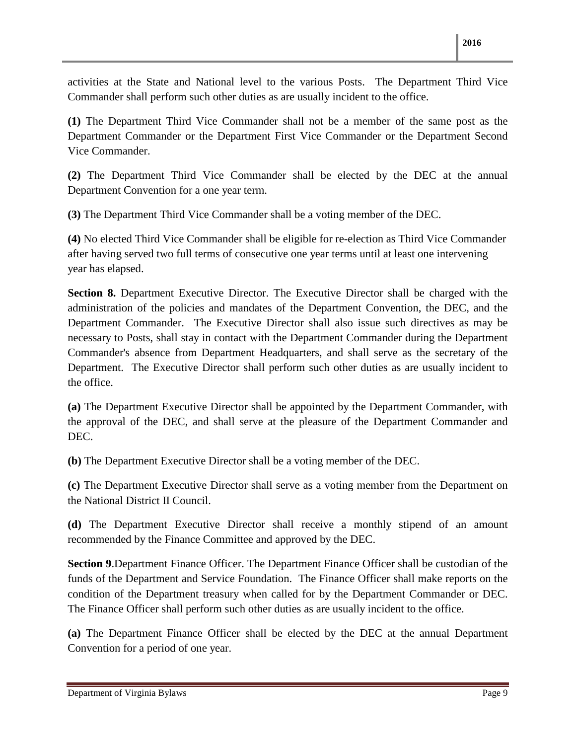activities at the State and National level to the various Posts. The Department Third Vice Commander shall perform such other duties as are usually incident to the office.

**(1)** The Department Third Vice Commander shall not be a member of the same post as the Department Commander or the Department First Vice Commander or the Department Second Vice Commander.

**(2)** The Department Third Vice Commander shall be elected by the DEC at the annual Department Convention for a one year term.

**(3)** The Department Third Vice Commander shall be a voting member of the DEC.

**(4)** No elected Third Vice Commander shall be eligible for re-election as Third Vice Commander after having served two full terms of consecutive one year terms until at least one intervening year has elapsed.

**Section 8.** Department Executive Director. The Executive Director shall be charged with the administration of the policies and mandates of the Department Convention, the DEC, and the Department Commander. The Executive Director shall also issue such directives as may be necessary to Posts, shall stay in contact with the Department Commander during the Department Commander's absence from Department Headquarters, and shall serve as the secretary of the Department. The Executive Director shall perform such other duties as are usually incident to the office.

**(a)** The Department Executive Director shall be appointed by the Department Commander, with the approval of the DEC, and shall serve at the pleasure of the Department Commander and DEC.

**(b)** The Department Executive Director shall be a voting member of the DEC.

**(c)** The Department Executive Director shall serve as a voting member from the Department on the National District II Council.

**(d)** The Department Executive Director shall receive a monthly stipend of an amount recommended by the Finance Committee and approved by the DEC.

**Section 9**.Department Finance Officer. The Department Finance Officer shall be custodian of the funds of the Department and Service Foundation. The Finance Officer shall make reports on the condition of the Department treasury when called for by the Department Commander or DEC. The Finance Officer shall perform such other duties as are usually incident to the office.

**(a)** The Department Finance Officer shall be elected by the DEC at the annual Department Convention for a period of one year.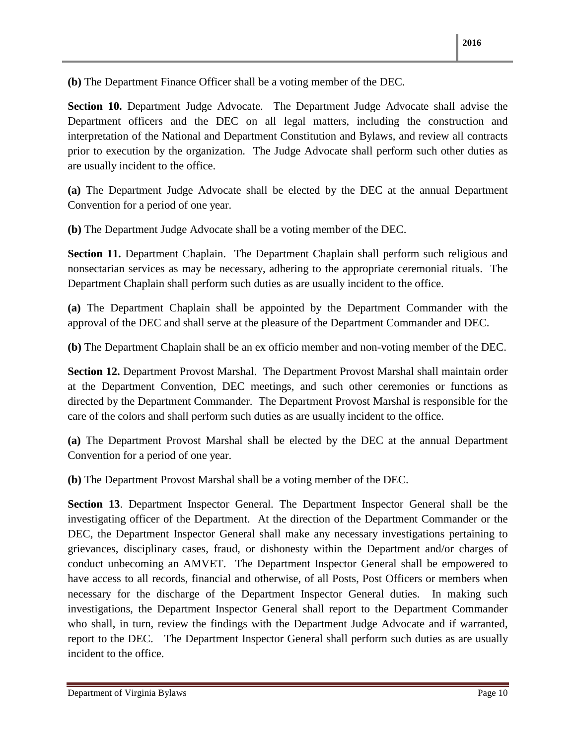**(b)** The Department Finance Officer shall be a voting member of the DEC.

**Section 10.** Department Judge Advocate. The Department Judge Advocate shall advise the Department officers and the DEC on all legal matters, including the construction and interpretation of the National and Department Constitution and Bylaws, and review all contracts prior to execution by the organization. The Judge Advocate shall perform such other duties as are usually incident to the office.

**(a)** The Department Judge Advocate shall be elected by the DEC at the annual Department Convention for a period of one year.

**(b)** The Department Judge Advocate shall be a voting member of the DEC.

**Section 11.** Department Chaplain. The Department Chaplain shall perform such religious and nonsectarian services as may be necessary, adhering to the appropriate ceremonial rituals. The Department Chaplain shall perform such duties as are usually incident to the office.

**(a)** The Department Chaplain shall be appointed by the Department Commander with the approval of the DEC and shall serve at the pleasure of the Department Commander and DEC.

**(b)** The Department Chaplain shall be an ex officio member and non-voting member of the DEC.

**Section 12.** Department Provost Marshal. The Department Provost Marshal shall maintain order at the Department Convention, DEC meetings, and such other ceremonies or functions as directed by the Department Commander. The Department Provost Marshal is responsible for the care of the colors and shall perform such duties as are usually incident to the office.

**(a)** The Department Provost Marshal shall be elected by the DEC at the annual Department Convention for a period of one year.

**(b)** The Department Provost Marshal shall be a voting member of the DEC.

**Section 13**. Department Inspector General. The Department Inspector General shall be the investigating officer of the Department. At the direction of the Department Commander or the DEC, the Department Inspector General shall make any necessary investigations pertaining to grievances, disciplinary cases, fraud, or dishonesty within the Department and/or charges of conduct unbecoming an AMVET. The Department Inspector General shall be empowered to have access to all records, financial and otherwise, of all Posts, Post Officers or members when necessary for the discharge of the Department Inspector General duties. In making such investigations, the Department Inspector General shall report to the Department Commander who shall, in turn, review the findings with the Department Judge Advocate and if warranted, report to the DEC. The Department Inspector General shall perform such duties as are usually incident to the office.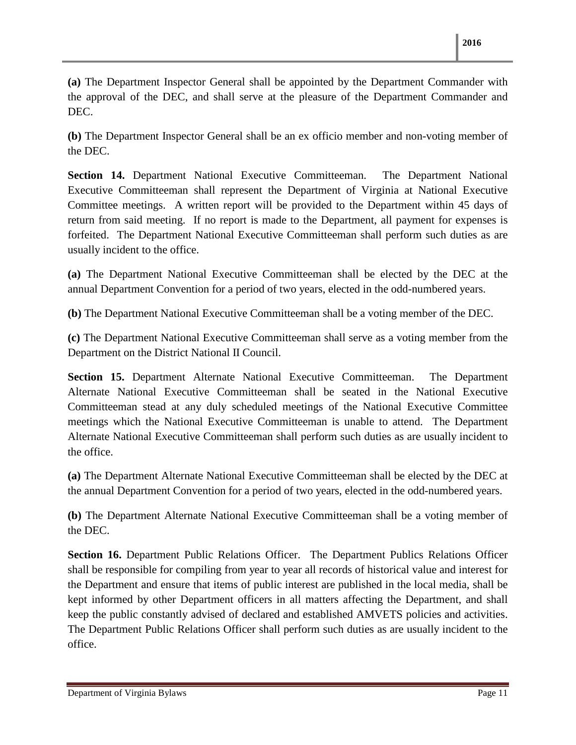**(a)** The Department Inspector General shall be appointed by the Department Commander with the approval of the DEC, and shall serve at the pleasure of the Department Commander and DEC.

**(b)** The Department Inspector General shall be an ex officio member and non-voting member of the DEC.

**Section 14.** Department National Executive Committeeman. The Department National Executive Committeeman shall represent the Department of Virginia at National Executive Committee meetings. A written report will be provided to the Department within 45 days of return from said meeting. If no report is made to the Department, all payment for expenses is forfeited. The Department National Executive Committeeman shall perform such duties as are usually incident to the office.

**(a)** The Department National Executive Committeeman shall be elected by the DEC at the annual Department Convention for a period of two years, elected in the odd-numbered years.

**(b)** The Department National Executive Committeeman shall be a voting member of the DEC.

**(c)** The Department National Executive Committeeman shall serve as a voting member from the Department on the District National II Council.

**Section 15.** Department Alternate National Executive Committeeman. The Department Alternate National Executive Committeeman shall be seated in the National Executive Committeeman stead at any duly scheduled meetings of the National Executive Committee meetings which the National Executive Committeeman is unable to attend. The Department Alternate National Executive Committeeman shall perform such duties as are usually incident to the office.

**(a)** The Department Alternate National Executive Committeeman shall be elected by the DEC at the annual Department Convention for a period of two years, elected in the odd-numbered years.

**(b)** The Department Alternate National Executive Committeeman shall be a voting member of the DEC.

**Section 16.** Department Public Relations Officer. The Department Publics Relations Officer shall be responsible for compiling from year to year all records of historical value and interest for the Department and ensure that items of public interest are published in the local media, shall be kept informed by other Department officers in all matters affecting the Department, and shall keep the public constantly advised of declared and established AMVETS policies and activities. The Department Public Relations Officer shall perform such duties as are usually incident to the office.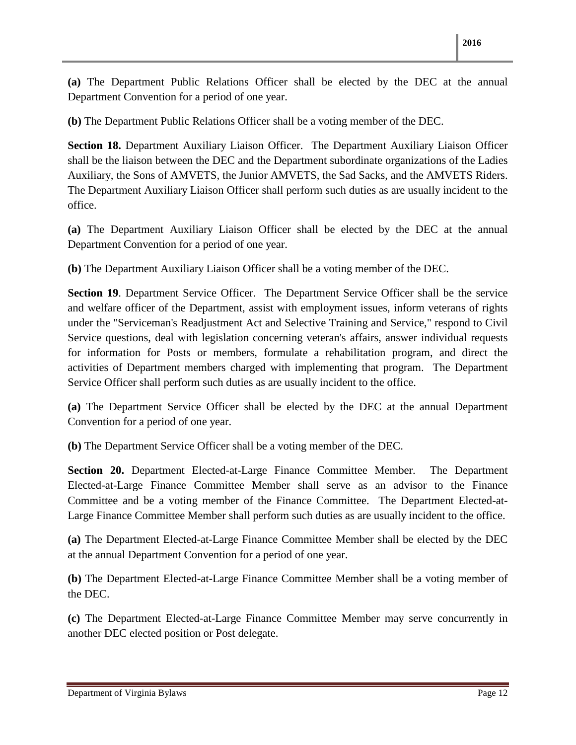**(a)** The Department Public Relations Officer shall be elected by the DEC at the annual Department Convention for a period of one year.

**(b)** The Department Public Relations Officer shall be a voting member of the DEC.

**Section 18.** Department Auxiliary Liaison Officer. The Department Auxiliary Liaison Officer shall be the liaison between the DEC and the Department subordinate organizations of the Ladies Auxiliary, the Sons of AMVETS, the Junior AMVETS, the Sad Sacks, and the AMVETS Riders. The Department Auxiliary Liaison Officer shall perform such duties as are usually incident to the office.

**(a)** The Department Auxiliary Liaison Officer shall be elected by the DEC at the annual Department Convention for a period of one year.

**(b)** The Department Auxiliary Liaison Officer shall be a voting member of the DEC.

**Section 19**. Department Service Officer. The Department Service Officer shall be the service and welfare officer of the Department, assist with employment issues, inform veterans of rights under the "Serviceman's Readjustment Act and Selective Training and Service," respond to Civil Service questions, deal with legislation concerning veteran's affairs, answer individual requests for information for Posts or members, formulate a rehabilitation program, and direct the activities of Department members charged with implementing that program. The Department Service Officer shall perform such duties as are usually incident to the office.

**(a)** The Department Service Officer shall be elected by the DEC at the annual Department Convention for a period of one year.

**(b)** The Department Service Officer shall be a voting member of the DEC.

**Section 20.** Department Elected-at-Large Finance Committee Member. The Department Elected-at-Large Finance Committee Member shall serve as an advisor to the Finance Committee and be a voting member of the Finance Committee. The Department Elected-at-Large Finance Committee Member shall perform such duties as are usually incident to the office.

**(a)** The Department Elected-at-Large Finance Committee Member shall be elected by the DEC at the annual Department Convention for a period of one year.

**(b)** The Department Elected-at-Large Finance Committee Member shall be a voting member of the DEC.

**(c)** The Department Elected-at-Large Finance Committee Member may serve concurrently in another DEC elected position or Post delegate.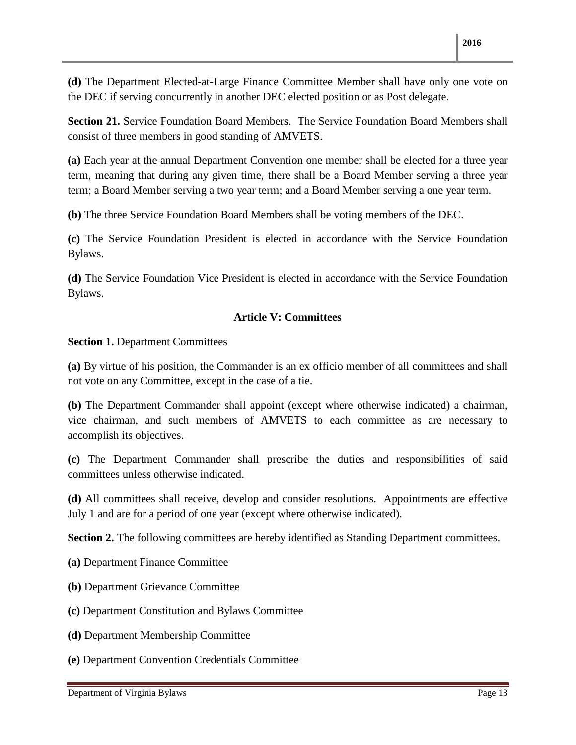**(d)** The Department Elected-at-Large Finance Committee Member shall have only one vote on the DEC if serving concurrently in another DEC elected position or as Post delegate.

**Section 21.** Service Foundation Board Members. The Service Foundation Board Members shall consist of three members in good standing of AMVETS.

**(a)** Each year at the annual Department Convention one member shall be elected for a three year term, meaning that during any given time, there shall be a Board Member serving a three year term; a Board Member serving a two year term; and a Board Member serving a one year term.

**(b)** The three Service Foundation Board Members shall be voting members of the DEC.

**(c)** The Service Foundation President is elected in accordance with the Service Foundation Bylaws.

**(d)** The Service Foundation Vice President is elected in accordance with the Service Foundation Bylaws.

#### **Article V: Committees**

**Section 1.** Department Committees

**(a)** By virtue of his position, the Commander is an ex officio member of all committees and shall not vote on any Committee, except in the case of a tie.

**(b)** The Department Commander shall appoint (except where otherwise indicated) a chairman, vice chairman, and such members of AMVETS to each committee as are necessary to accomplish its objectives.

**(c)** The Department Commander shall prescribe the duties and responsibilities of said committees unless otherwise indicated.

**(d)** All committees shall receive, develop and consider resolutions. Appointments are effective July 1 and are for a period of one year (except where otherwise indicated).

**Section 2.** The following committees are hereby identified as Standing Department committees.

- **(a)** Department Finance Committee
- **(b)** Department Grievance Committee
- **(c)** Department Constitution and Bylaws Committee
- **(d)** Department Membership Committee
- **(e)** Department Convention Credentials Committee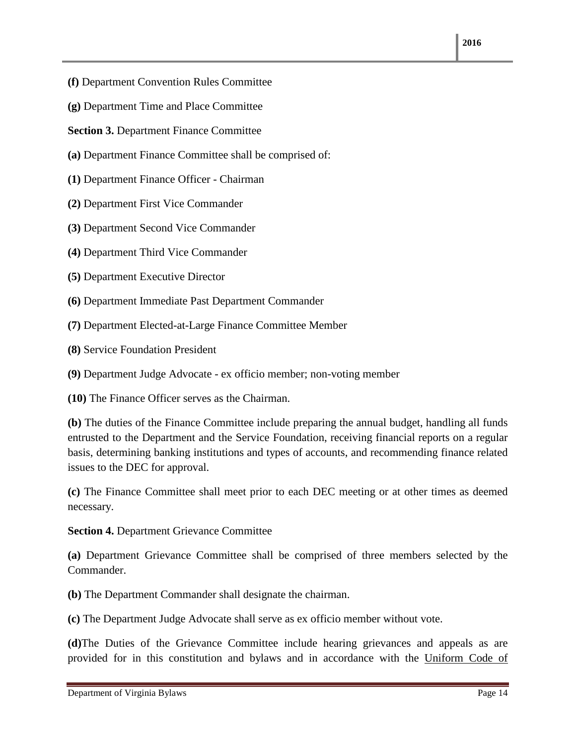**2016**

- **(f)** Department Convention Rules Committee
- **(g)** Department Time and Place Committee

**Section 3.** Department Finance Committee

- **(a)** Department Finance Committee shall be comprised of:
- **(1)** Department Finance Officer Chairman
- **(2)** Department First Vice Commander
- **(3)** Department Second Vice Commander
- **(4)** Department Third Vice Commander
- **(5)** Department Executive Director
- **(6)** Department Immediate Past Department Commander
- **(7)** Department Elected-at-Large Finance Committee Member
- **(8)** Service Foundation President

**(9)** Department Judge Advocate - ex officio member; non-voting member

**(10)** The Finance Officer serves as the Chairman.

**(b)** The duties of the Finance Committee include preparing the annual budget, handling all funds entrusted to the Department and the Service Foundation, receiving financial reports on a regular basis, determining banking institutions and types of accounts, and recommending finance related issues to the DEC for approval.

**(c)** The Finance Committee shall meet prior to each DEC meeting or at other times as deemed necessary.

#### **Section 4.** Department Grievance Committee

**(a)** Department Grievance Committee shall be comprised of three members selected by the Commander.

**(b)** The Department Commander shall designate the chairman.

**(c)** The Department Judge Advocate shall serve as ex officio member without vote.

**(d)**The Duties of the Grievance Committee include hearing grievances and appeals as are provided for in this constitution and bylaws and in accordance with the Uniform Code of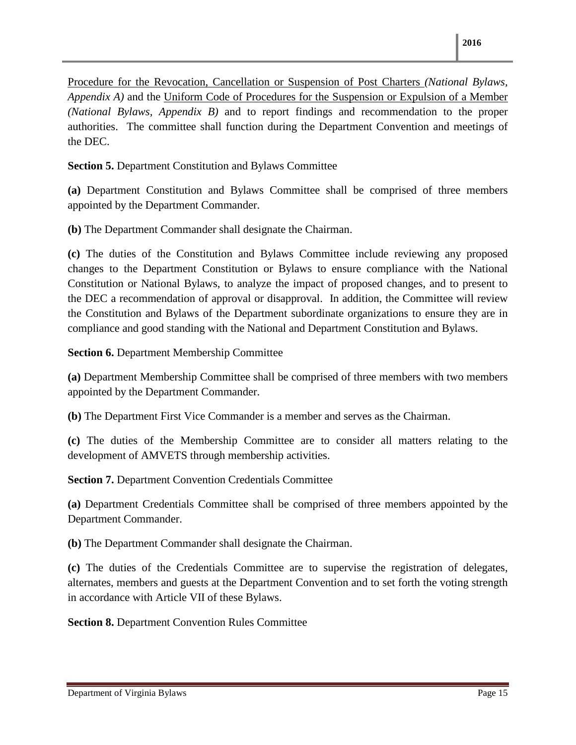Procedure for the Revocation, Cancellation or Suspension of Post Charters *(National Bylaws, Appendix A)* and the Uniform Code of Procedures for the Suspension or Expulsion of a Member *(National Bylaws, Appendix B)* and to report findings and recommendation to the proper authorities. The committee shall function during the Department Convention and meetings of the DEC.

**Section 5.** Department Constitution and Bylaws Committee

**(a)** Department Constitution and Bylaws Committee shall be comprised of three members appointed by the Department Commander.

**(b)** The Department Commander shall designate the Chairman.

**(c)** The duties of the Constitution and Bylaws Committee include reviewing any proposed changes to the Department Constitution or Bylaws to ensure compliance with the National Constitution or National Bylaws, to analyze the impact of proposed changes, and to present to the DEC a recommendation of approval or disapproval. In addition, the Committee will review the Constitution and Bylaws of the Department subordinate organizations to ensure they are in compliance and good standing with the National and Department Constitution and Bylaws.

**Section 6.** Department Membership Committee

**(a)** Department Membership Committee shall be comprised of three members with two members appointed by the Department Commander.

**(b)** The Department First Vice Commander is a member and serves as the Chairman.

**(c)** The duties of the Membership Committee are to consider all matters relating to the development of AMVETS through membership activities.

**Section 7.** Department Convention Credentials Committee

**(a)** Department Credentials Committee shall be comprised of three members appointed by the Department Commander.

**(b)** The Department Commander shall designate the Chairman.

**(c)** The duties of the Credentials Committee are to supervise the registration of delegates, alternates, members and guests at the Department Convention and to set forth the voting strength in accordance with Article VII of these Bylaws.

**Section 8.** Department Convention Rules Committee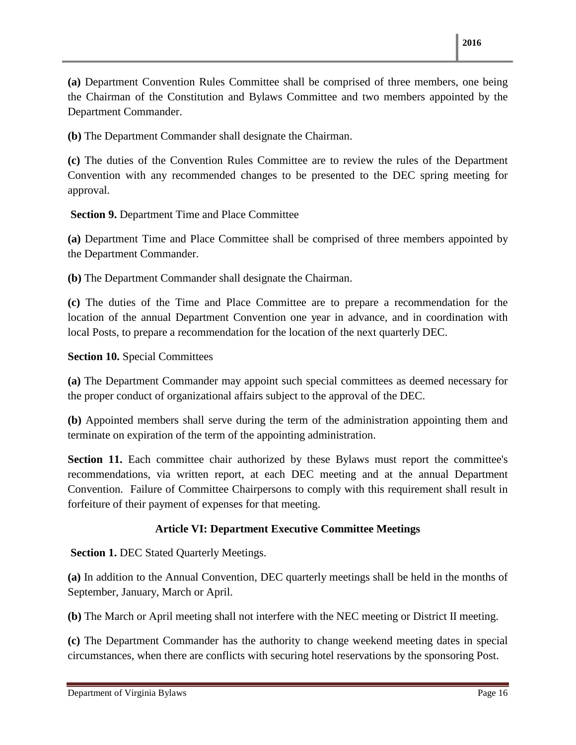**(a)** Department Convention Rules Committee shall be comprised of three members, one being the Chairman of the Constitution and Bylaws Committee and two members appointed by the Department Commander.

**(b)** The Department Commander shall designate the Chairman.

**(c)** The duties of the Convention Rules Committee are to review the rules of the Department Convention with any recommended changes to be presented to the DEC spring meeting for approval.

 **Section 9.** Department Time and Place Committee

**(a)** Department Time and Place Committee shall be comprised of three members appointed by the Department Commander.

**(b)** The Department Commander shall designate the Chairman.

**(c)** The duties of the Time and Place Committee are to prepare a recommendation for the location of the annual Department Convention one year in advance, and in coordination with local Posts, to prepare a recommendation for the location of the next quarterly DEC.

#### **Section 10.** Special Committees

**(a)** The Department Commander may appoint such special committees as deemed necessary for the proper conduct of organizational affairs subject to the approval of the DEC.

**(b)** Appointed members shall serve during the term of the administration appointing them and terminate on expiration of the term of the appointing administration.

**Section 11.** Each committee chair authorized by these Bylaws must report the committee's recommendations, via written report, at each DEC meeting and at the annual Department Convention. Failure of Committee Chairpersons to comply with this requirement shall result in forfeiture of their payment of expenses for that meeting.

#### **Article VI: Department Executive Committee Meetings**

**Section 1. DEC Stated Quarterly Meetings.** 

**(a)** In addition to the Annual Convention, DEC quarterly meetings shall be held in the months of September, January, March or April.

**(b)** The March or April meeting shall not interfere with the NEC meeting or District II meeting.

**(c)** The Department Commander has the authority to change weekend meeting dates in special circumstances, when there are conflicts with securing hotel reservations by the sponsoring Post.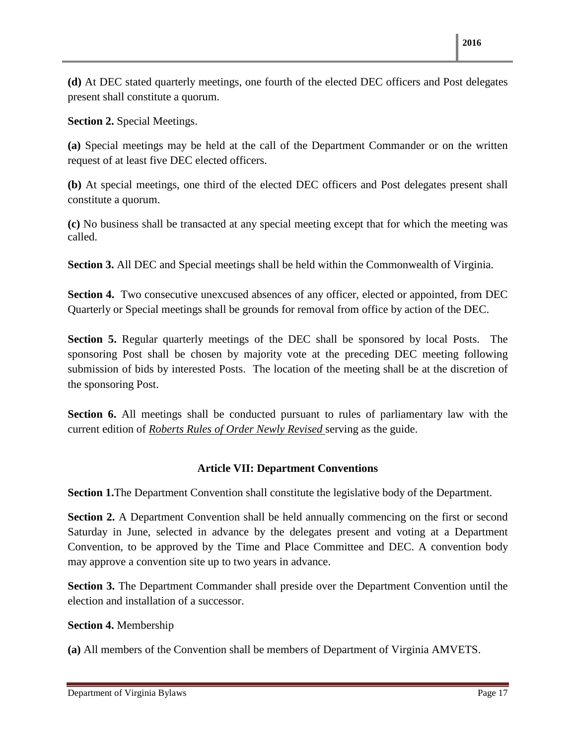**(d)** At DEC stated quarterly meetings, one fourth of the elected DEC officers and Post delegates present shall constitute a quorum.

**Section 2.** Special Meetings.

**(a)** Special meetings may be held at the call of the Department Commander or on the written request of at least five DEC elected officers.

**(b)** At special meetings, one third of the elected DEC officers and Post delegates present shall constitute a quorum.

**(c)** No business shall be transacted at any special meeting except that for which the meeting was called.

**Section 3.** All DEC and Special meetings shall be held within the Commonwealth of Virginia.

**Section 4.** Two consecutive unexcused absences of any officer, elected or appointed, from DEC Quarterly or Special meetings shall be grounds for removal from office by action of the DEC.

**Section 5.** Regular quarterly meetings of the DEC shall be sponsored by local Posts. The sponsoring Post shall be chosen by majority vote at the preceding DEC meeting following submission of bids by interested Posts. The location of the meeting shall be at the discretion of the sponsoring Post.

**Section 6.** All meetings shall be conducted pursuant to rules of parliamentary law with the current edition of *Roberts Rules of Order Newly Revised* serving as the guide.

#### **Article VII: Department Conventions**

**Section 1.** The Department Convention shall constitute the legislative body of the Department.

**Section 2.** A Department Convention shall be held annually commencing on the first or second Saturday in June, selected in advance by the delegates present and voting at a Department Convention, to be approved by the Time and Place Committee and DEC. A convention body may approve a convention site up to two years in advance.

**Section 3.** The Department Commander shall preside over the Department Convention until the election and installation of a successor.

#### **Section 4.** Membership

**(a)** All members of the Convention shall be members of Department of Virginia AMVETS.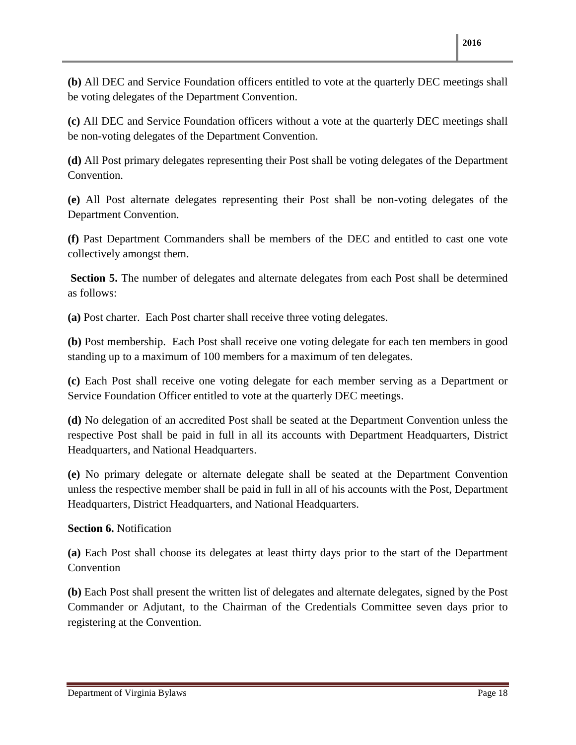**(b)** All DEC and Service Foundation officers entitled to vote at the quarterly DEC meetings shall be voting delegates of the Department Convention.

**(c)** All DEC and Service Foundation officers without a vote at the quarterly DEC meetings shall be non-voting delegates of the Department Convention.

**(d)** All Post primary delegates representing their Post shall be voting delegates of the Department Convention.

**(e)** All Post alternate delegates representing their Post shall be non-voting delegates of the Department Convention.

**(f)** Past Department Commanders shall be members of the DEC and entitled to cast one vote collectively amongst them.

**Section 5.** The number of delegates and alternate delegates from each Post shall be determined as follows:

**(a)** Post charter. Each Post charter shall receive three voting delegates.

**(b)** Post membership. Each Post shall receive one voting delegate for each ten members in good standing up to a maximum of 100 members for a maximum of ten delegates.

**(c)** Each Post shall receive one voting delegate for each member serving as a Department or Service Foundation Officer entitled to vote at the quarterly DEC meetings.

**(d)** No delegation of an accredited Post shall be seated at the Department Convention unless the respective Post shall be paid in full in all its accounts with Department Headquarters, District Headquarters, and National Headquarters.

**(e)** No primary delegate or alternate delegate shall be seated at the Department Convention unless the respective member shall be paid in full in all of his accounts with the Post, Department Headquarters, District Headquarters, and National Headquarters.

#### **Section 6.** Notification

**(a)** Each Post shall choose its delegates at least thirty days prior to the start of the Department Convention

**(b)** Each Post shall present the written list of delegates and alternate delegates, signed by the Post Commander or Adjutant, to the Chairman of the Credentials Committee seven days prior to registering at the Convention.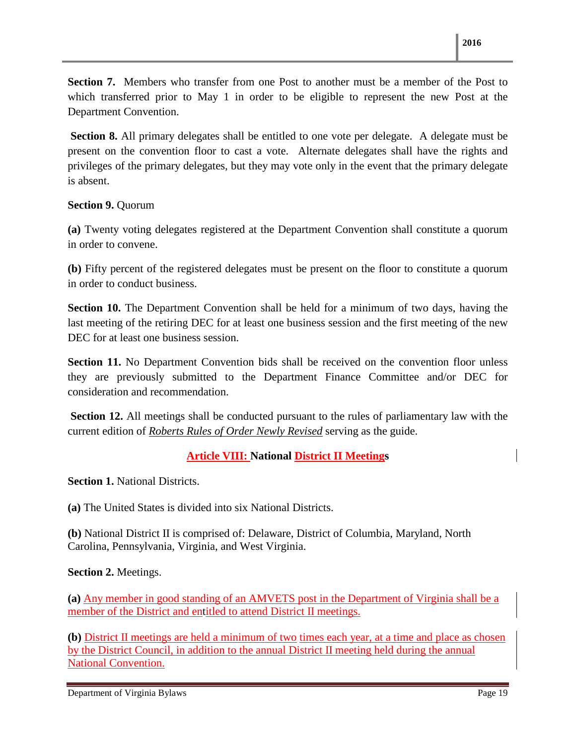**Section 7.** Members who transfer from one Post to another must be a member of the Post to which transferred prior to May 1 in order to be eligible to represent the new Post at the Department Convention.

**Section 8.** All primary delegates shall be entitled to one vote per delegate. A delegate must be present on the convention floor to cast a vote. Alternate delegates shall have the rights and privileges of the primary delegates, but they may vote only in the event that the primary delegate is absent.

#### **Section 9.** Quorum

**(a)** Twenty voting delegates registered at the Department Convention shall constitute a quorum in order to convene.

**(b)** Fifty percent of the registered delegates must be present on the floor to constitute a quorum in order to conduct business.

**Section 10.** The Department Convention shall be held for a minimum of two days, having the last meeting of the retiring DEC for at least one business session and the first meeting of the new DEC for at least one business session.

**Section 11.** No Department Convention bids shall be received on the convention floor unless they are previously submitted to the Department Finance Committee and/or DEC for consideration and recommendation.

 **Section 12.** All meetings shall be conducted pursuant to the rules of parliamentary law with the current edition of *Roberts Rules of Order Newly Revised* serving as the guide.

#### **Article VIII: National District II Meetings**

**Section 1.** National Districts.

**(a)** The United States is divided into six National Districts.

**(b)** National District II is comprised of: Delaware, District of Columbia, Maryland, North Carolina, Pennsylvania, Virginia, and West Virginia.

#### **Section 2.** Meetings.

**(a)** Any member in good standing of an AMVETS post in the Department of Virginia shall be a member of the District and entitled to attend District II meetings.

**(b)** District II meetings are held a minimum of two times each year, at a time and place as chosen by the District Council, in addition to the annual District II meeting held during the annual National Convention.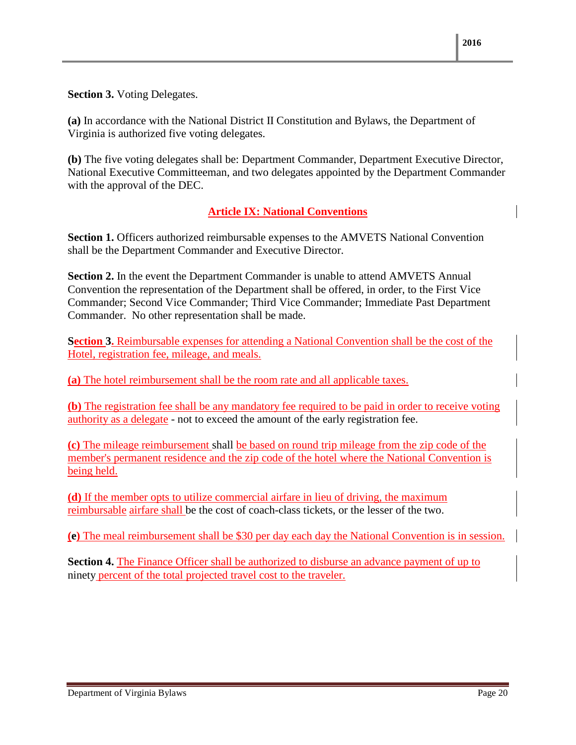**Section 3.** Voting Delegates.

**(a)** In accordance with the National District II Constitution and Bylaws, the Department of Virginia is authorized five voting delegates.

**(b)** The five voting delegates shall be: Department Commander, Department Executive Director, National Executive Committeeman, and two delegates appointed by the Department Commander with the approval of the DEC.

#### **Article IX: National Conventions**

**Section 1.** Officers authorized reimbursable expenses to the AMVETS National Convention shall be the Department Commander and Executive Director.

**Section 2.** In the event the Department Commander is unable to attend AMVETS Annual Convention the representation of the Department shall be offered, in order, to the First Vice Commander; Second Vice Commander; Third Vice Commander; Immediate Past Department Commander. No other representation shall be made.

**Section 3.** Reimbursable expenses for attending a National Convention shall be the cost of the Hotel, registration fee, mileage, and meals.

**(a)** The hotel reimbursement shall be the room rate and all applicable taxes.

**(b)** The registration fee shall be any mandatory fee required to be paid in order to receive voting authority as a delegate - not to exceed the amount of the early registration fee.

**(c)** The mileage reimbursement shall be based on round trip mileage from the zip code of the member's permanent residence and the zip code of the hotel where the National Convention is being held.

**(d)** If the member opts to utilize commercial airfare in lieu of driving, the maximum reimbursable airfare shall be the cost of coach-class tickets, or the lesser of the two.

**(e)** The meal reimbursement shall be \$30 per day each day the National Convention is in session.

**Section 4.** The Finance Officer shall be authorized to disburse an advance payment of up to ninety percent of the total projected travel cost to the traveler.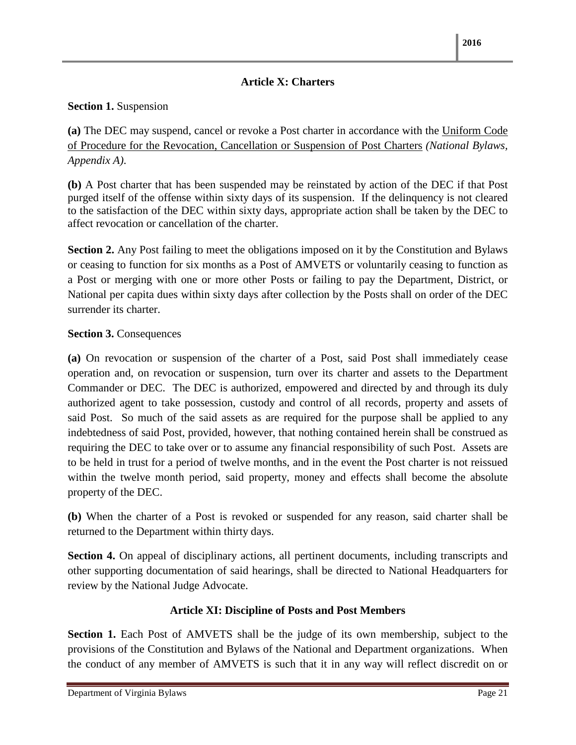#### **Article X: Charters**

#### **Section 1.** Suspension

**(a)** The DEC may suspend, cancel or revoke a Post charter in accordance with the Uniform Code of Procedure for the Revocation, Cancellation or Suspension of Post Charters *(National Bylaws, Appendix A)*.

**(b)** A Post charter that has been suspended may be reinstated by action of the DEC if that Post purged itself of the offense within sixty days of its suspension. If the delinquency is not cleared to the satisfaction of the DEC within sixty days, appropriate action shall be taken by the DEC to affect revocation or cancellation of the charter.

**Section 2.** Any Post failing to meet the obligations imposed on it by the Constitution and Bylaws or ceasing to function for six months as a Post of AMVETS or voluntarily ceasing to function as a Post or merging with one or more other Posts or failing to pay the Department, District, or National per capita dues within sixty days after collection by the Posts shall on order of the DEC surrender its charter.

#### **Section 3.** Consequences

**(a)** On revocation or suspension of the charter of a Post, said Post shall immediately cease operation and, on revocation or suspension, turn over its charter and assets to the Department Commander or DEC. The DEC is authorized, empowered and directed by and through its duly authorized agent to take possession, custody and control of all records, property and assets of said Post. So much of the said assets as are required for the purpose shall be applied to any indebtedness of said Post, provided, however, that nothing contained herein shall be construed as requiring the DEC to take over or to assume any financial responsibility of such Post. Assets are to be held in trust for a period of twelve months, and in the event the Post charter is not reissued within the twelve month period, said property, money and effects shall become the absolute property of the DEC.

**(b)** When the charter of a Post is revoked or suspended for any reason, said charter shall be returned to the Department within thirty days.

**Section 4.** On appeal of disciplinary actions, all pertinent documents, including transcripts and other supporting documentation of said hearings, shall be directed to National Headquarters for review by the National Judge Advocate.

#### **Article XI: Discipline of Posts and Post Members**

**Section 1.** Each Post of AMVETS shall be the judge of its own membership, subject to the provisions of the Constitution and Bylaws of the National and Department organizations. When the conduct of any member of AMVETS is such that it in any way will reflect discredit on or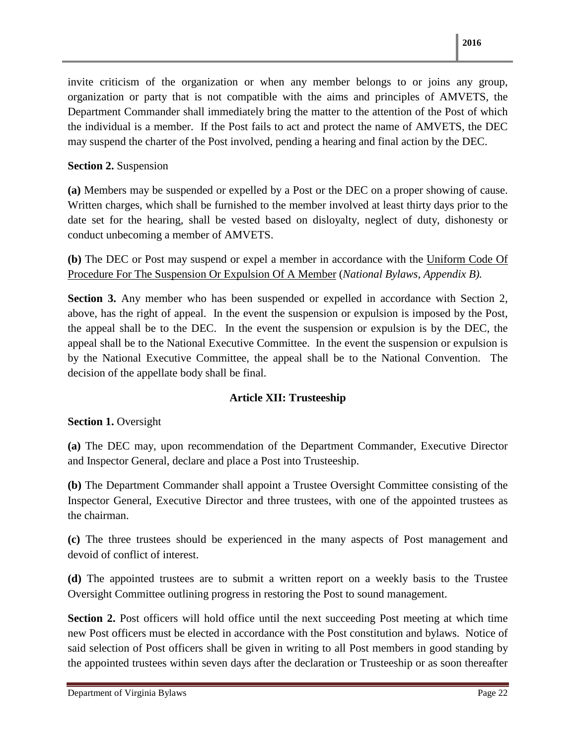invite criticism of the organization or when any member belongs to or joins any group, organization or party that is not compatible with the aims and principles of AMVETS, the Department Commander shall immediately bring the matter to the attention of the Post of which the individual is a member. If the Post fails to act and protect the name of AMVETS, the DEC may suspend the charter of the Post involved, pending a hearing and final action by the DEC.

#### **Section 2.** Suspension

**(a)** Members may be suspended or expelled by a Post or the DEC on a proper showing of cause. Written charges, which shall be furnished to the member involved at least thirty days prior to the date set for the hearing, shall be vested based on disloyalty, neglect of duty, dishonesty or conduct unbecoming a member of AMVETS.

**(b)** The DEC or Post may suspend or expel a member in accordance with the Uniform Code Of Procedure For The Suspension Or Expulsion Of A Member (*National Bylaws, Appendix B).*

**Section 3.** Any member who has been suspended or expelled in accordance with Section 2, above, has the right of appeal. In the event the suspension or expulsion is imposed by the Post, the appeal shall be to the DEC. In the event the suspension or expulsion is by the DEC, the appeal shall be to the National Executive Committee. In the event the suspension or expulsion is by the National Executive Committee, the appeal shall be to the National Convention. The decision of the appellate body shall be final.

#### **Article XII: Trusteeship**

**Section 1.** Oversight

**(a)** The DEC may, upon recommendation of the Department Commander, Executive Director and Inspector General, declare and place a Post into Trusteeship.

**(b)** The Department Commander shall appoint a Trustee Oversight Committee consisting of the Inspector General, Executive Director and three trustees, with one of the appointed trustees as the chairman.

**(c)** The three trustees should be experienced in the many aspects of Post management and devoid of conflict of interest.

**(d)** The appointed trustees are to submit a written report on a weekly basis to the Trustee Oversight Committee outlining progress in restoring the Post to sound management.

**Section 2.** Post officers will hold office until the next succeeding Post meeting at which time new Post officers must be elected in accordance with the Post constitution and bylaws. Notice of said selection of Post officers shall be given in writing to all Post members in good standing by the appointed trustees within seven days after the declaration or Trusteeship or as soon thereafter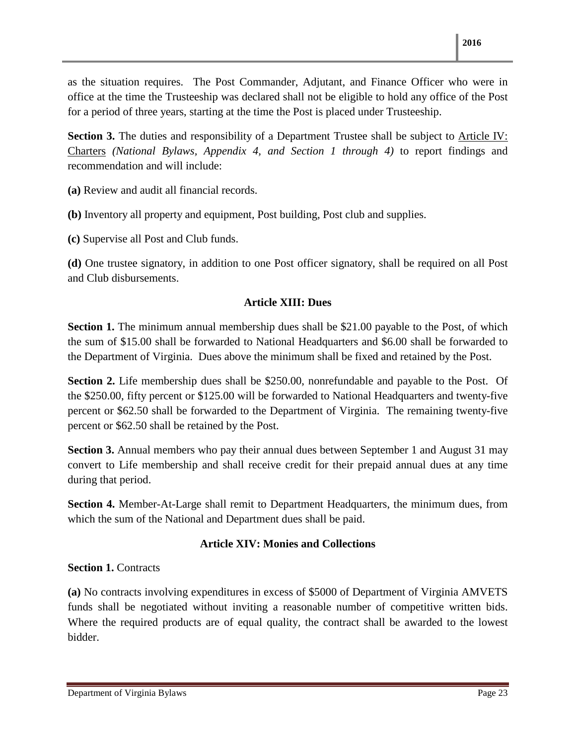as the situation requires. The Post Commander, Adjutant, and Finance Officer who were in office at the time the Trusteeship was declared shall not be eligible to hold any office of the Post for a period of three years, starting at the time the Post is placed under Trusteeship.

**Section 3.** The duties and responsibility of a Department Trustee shall be subject to Article IV: Charters *(National Bylaws, Appendix 4, and Section 1 through 4)* to report findings and recommendation and will include:

**(a)** Review and audit all financial records.

**(b)** Inventory all property and equipment, Post building, Post club and supplies.

**(c)** Supervise all Post and Club funds.

**(d)** One trustee signatory, in addition to one Post officer signatory, shall be required on all Post and Club disbursements.

#### **Article XIII: Dues**

**Section 1.** The minimum annual membership dues shall be \$21.00 payable to the Post, of which the sum of \$15.00 shall be forwarded to National Headquarters and \$6.00 shall be forwarded to the Department of Virginia. Dues above the minimum shall be fixed and retained by the Post.

**Section 2.** Life membership dues shall be \$250.00, nonrefundable and payable to the Post. Of the \$250.00, fifty percent or \$125.00 will be forwarded to National Headquarters and twenty-five percent or \$62.50 shall be forwarded to the Department of Virginia. The remaining twenty-five percent or \$62.50 shall be retained by the Post.

**Section 3.** Annual members who pay their annual dues between September 1 and August 31 may convert to Life membership and shall receive credit for their prepaid annual dues at any time during that period.

**Section 4.** Member-At-Large shall remit to Department Headquarters, the minimum dues, from which the sum of the National and Department dues shall be paid.

#### **Article XIV: Monies and Collections**

#### **Section 1. Contracts**

**(a)** No contracts involving expenditures in excess of \$5000 of Department of Virginia AMVETS funds shall be negotiated without inviting a reasonable number of competitive written bids. Where the required products are of equal quality, the contract shall be awarded to the lowest bidder.

Department of Virginia Bylaws Page 23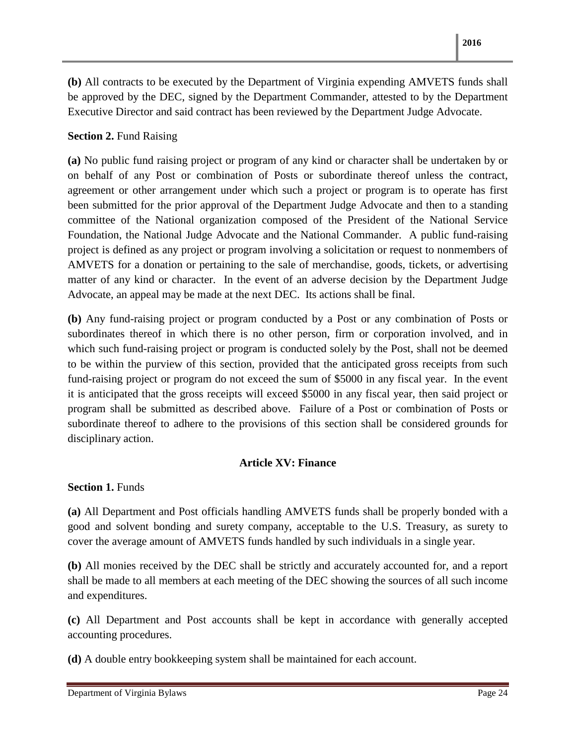**(b)** All contracts to be executed by the Department of Virginia expending AMVETS funds shall be approved by the DEC, signed by the Department Commander, attested to by the Department Executive Director and said contract has been reviewed by the Department Judge Advocate.

#### **Section 2. Fund Raising**

**(a)** No public fund raising project or program of any kind or character shall be undertaken by or on behalf of any Post or combination of Posts or subordinate thereof unless the contract, agreement or other arrangement under which such a project or program is to operate has first been submitted for the prior approval of the Department Judge Advocate and then to a standing committee of the National organization composed of the President of the National Service Foundation, the National Judge Advocate and the National Commander. A public fund-raising project is defined as any project or program involving a solicitation or request to nonmembers of AMVETS for a donation or pertaining to the sale of merchandise, goods, tickets, or advertising matter of any kind or character. In the event of an adverse decision by the Department Judge Advocate, an appeal may be made at the next DEC. Its actions shall be final.

**(b)** Any fund-raising project or program conducted by a Post or any combination of Posts or subordinates thereof in which there is no other person, firm or corporation involved, and in which such fund-raising project or program is conducted solely by the Post, shall not be deemed to be within the purview of this section, provided that the anticipated gross receipts from such fund-raising project or program do not exceed the sum of \$5000 in any fiscal year. In the event it is anticipated that the gross receipts will exceed \$5000 in any fiscal year, then said project or program shall be submitted as described above. Failure of a Post or combination of Posts or subordinate thereof to adhere to the provisions of this section shall be considered grounds for disciplinary action.

#### **Article XV: Finance**

**Section 1. Funds** 

**(a)** All Department and Post officials handling AMVETS funds shall be properly bonded with a good and solvent bonding and surety company, acceptable to the U.S. Treasury, as surety to cover the average amount of AMVETS funds handled by such individuals in a single year.

**(b)** All monies received by the DEC shall be strictly and accurately accounted for, and a report shall be made to all members at each meeting of the DEC showing the sources of all such income and expenditures.

**(c)** All Department and Post accounts shall be kept in accordance with generally accepted accounting procedures.

**(d)** A double entry bookkeeping system shall be maintained for each account.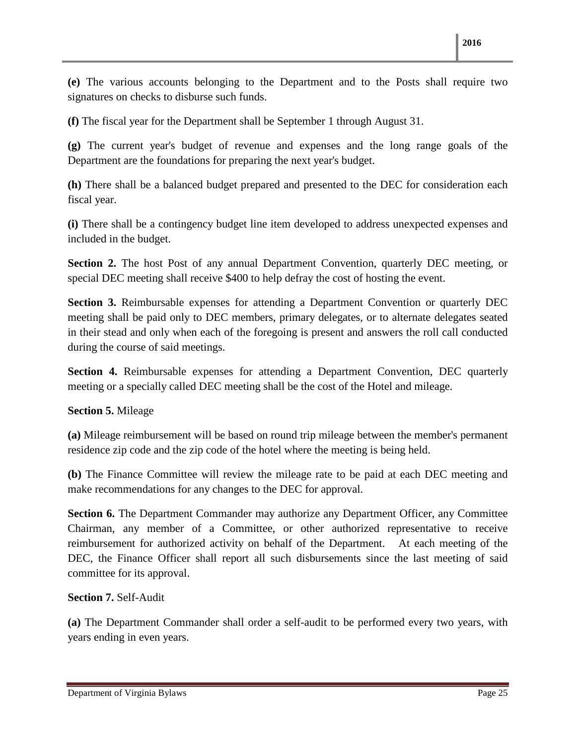**(e)** The various accounts belonging to the Department and to the Posts shall require two signatures on checks to disburse such funds.

**(f)** The fiscal year for the Department shall be September 1 through August 31.

**(g)** The current year's budget of revenue and expenses and the long range goals of the Department are the foundations for preparing the next year's budget.

**(h)** There shall be a balanced budget prepared and presented to the DEC for consideration each fiscal year.

**(i)** There shall be a contingency budget line item developed to address unexpected expenses and included in the budget.

**Section 2.** The host Post of any annual Department Convention, quarterly DEC meeting, or special DEC meeting shall receive \$400 to help defray the cost of hosting the event.

**Section 3.** Reimbursable expenses for attending a Department Convention or quarterly DEC meeting shall be paid only to DEC members, primary delegates, or to alternate delegates seated in their stead and only when each of the foregoing is present and answers the roll call conducted during the course of said meetings.

**Section 4.** Reimbursable expenses for attending a Department Convention, DEC quarterly meeting or a specially called DEC meeting shall be the cost of the Hotel and mileage.

**Section 5.** Mileage

**(a)** Mileage reimbursement will be based on round trip mileage between the member's permanent residence zip code and the zip code of the hotel where the meeting is being held.

**(b)** The Finance Committee will review the mileage rate to be paid at each DEC meeting and make recommendations for any changes to the DEC for approval.

**Section 6.** The Department Commander may authorize any Department Officer, any Committee Chairman, any member of a Committee, or other authorized representative to receive reimbursement for authorized activity on behalf of the Department. At each meeting of the DEC, the Finance Officer shall report all such disbursements since the last meeting of said committee for its approval.

#### **Section 7.** Self-Audit

**(a)** The Department Commander shall order a self-audit to be performed every two years, with years ending in even years.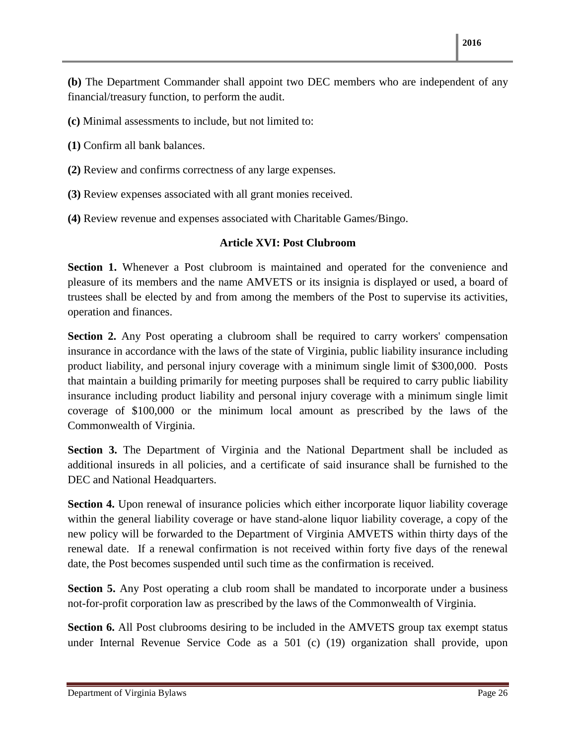**(b)** The Department Commander shall appoint two DEC members who are independent of any financial/treasury function, to perform the audit.

**(c)** Minimal assessments to include, but not limited to:

**(1)** Confirm all bank balances.

**(2)** Review and confirms correctness of any large expenses.

**(3)** Review expenses associated with all grant monies received.

**(4)** Review revenue and expenses associated with Charitable Games/Bingo.

#### **Article XVI: Post Clubroom**

**Section 1.** Whenever a Post clubroom is maintained and operated for the convenience and pleasure of its members and the name AMVETS or its insignia is displayed or used, a board of trustees shall be elected by and from among the members of the Post to supervise its activities, operation and finances.

**Section 2.** Any Post operating a clubroom shall be required to carry workers' compensation insurance in accordance with the laws of the state of Virginia, public liability insurance including product liability, and personal injury coverage with a minimum single limit of \$300,000. Posts that maintain a building primarily for meeting purposes shall be required to carry public liability insurance including product liability and personal injury coverage with a minimum single limit coverage of \$100,000 or the minimum local amount as prescribed by the laws of the Commonwealth of Virginia.

**Section 3.** The Department of Virginia and the National Department shall be included as additional insureds in all policies, and a certificate of said insurance shall be furnished to the DEC and National Headquarters.

**Section 4.** Upon renewal of insurance policies which either incorporate liquor liability coverage within the general liability coverage or have stand-alone liquor liability coverage, a copy of the new policy will be forwarded to the Department of Virginia AMVETS within thirty days of the renewal date. If a renewal confirmation is not received within forty five days of the renewal date, the Post becomes suspended until such time as the confirmation is received.

**Section 5.** Any Post operating a club room shall be mandated to incorporate under a business not-for-profit corporation law as prescribed by the laws of the Commonwealth of Virginia.

**Section 6.** All Post clubrooms desiring to be included in the AMVETS group tax exempt status under Internal Revenue Service Code as a 501 (c) (19) organization shall provide, upon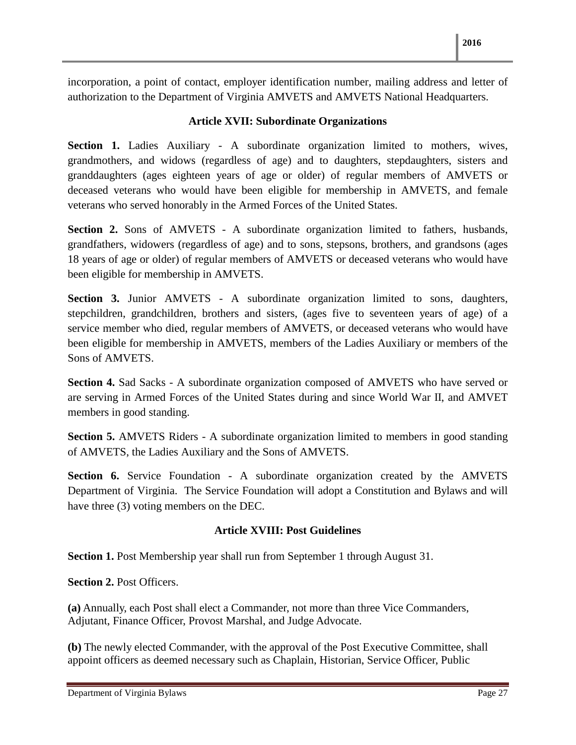incorporation, a point of contact, employer identification number, mailing address and letter of authorization to the Department of Virginia AMVETS and AMVETS National Headquarters.

#### **Article XVII: Subordinate Organizations**

**Section 1.** Ladies Auxiliary - A subordinate organization limited to mothers, wives, grandmothers, and widows (regardless of age) and to daughters, stepdaughters, sisters and granddaughters (ages eighteen years of age or older) of regular members of AMVETS or deceased veterans who would have been eligible for membership in AMVETS, and female veterans who served honorably in the Armed Forces of the United States.

**Section 2.** Sons of AMVETS - A subordinate organization limited to fathers, husbands, grandfathers, widowers (regardless of age) and to sons, stepsons, brothers, and grandsons (ages 18 years of age or older) of regular members of AMVETS or deceased veterans who would have been eligible for membership in AMVETS.

**Section 3.** Junior AMVETS - A subordinate organization limited to sons, daughters, stepchildren, grandchildren, brothers and sisters, (ages five to seventeen years of age) of a service member who died, regular members of AMVETS, or deceased veterans who would have been eligible for membership in AMVETS, members of the Ladies Auxiliary or members of the Sons of AMVETS.

**Section 4.** Sad Sacks - A subordinate organization composed of AMVETS who have served or are serving in Armed Forces of the United States during and since World War II, and AMVET members in good standing.

**Section 5.** AMVETS Riders - A subordinate organization limited to members in good standing of AMVETS, the Ladies Auxiliary and the Sons of AMVETS.

**Section 6.** Service Foundation - A subordinate organization created by the AMVETS Department of Virginia. The Service Foundation will adopt a Constitution and Bylaws and will have three (3) voting members on the DEC.

#### **Article XVIII: Post Guidelines**

**Section 1.** Post Membership year shall run from September 1 through August 31.

**Section 2. Post Officers.** 

**(a)** Annually, each Post shall elect a Commander, not more than three Vice Commanders, Adjutant, Finance Officer, Provost Marshal, and Judge Advocate.

**(b)** The newly elected Commander, with the approval of the Post Executive Committee, shall appoint officers as deemed necessary such as Chaplain, Historian, Service Officer, Public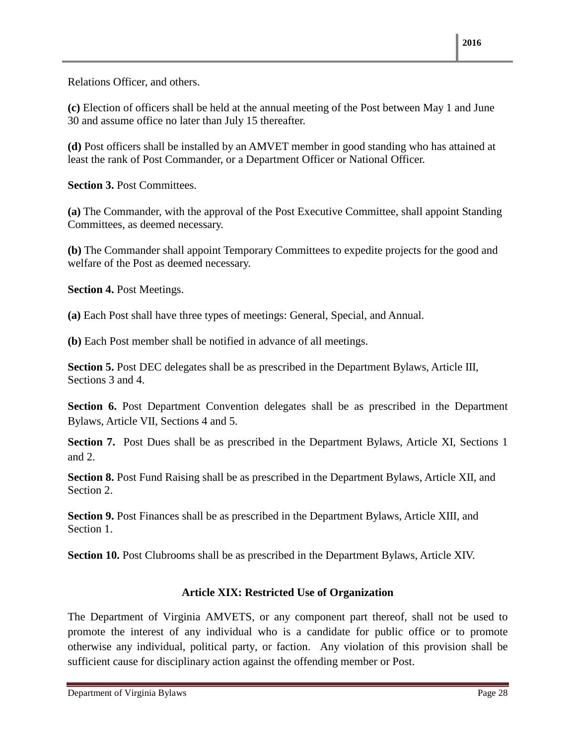Relations Officer, and others.

**(c)** Election of officers shall be held at the annual meeting of the Post between May 1 and June 30 and assume office no later than July 15 thereafter.

**(d)** Post officers shall be installed by an AMVET member in good standing who has attained at least the rank of Post Commander, or a Department Officer or National Officer.

**Section 3.** Post Committees.

**(a)** The Commander, with the approval of the Post Executive Committee, shall appoint Standing Committees, as deemed necessary.

**(b)** The Commander shall appoint Temporary Committees to expedite projects for the good and welfare of the Post as deemed necessary.

**Section 4.** Post Meetings.

**(a)** Each Post shall have three types of meetings: General, Special, and Annual.

**(b)** Each Post member shall be notified in advance of all meetings.

**Section 5.** Post DEC delegates shall be as prescribed in the Department Bylaws, Article III, Sections 3 and 4.

**Section 6.** Post Department Convention delegates shall be as prescribed in the Department Bylaws, Article VII, Sections 4 and 5.

**Section 7.** Post Dues shall be as prescribed in the Department Bylaws, Article XI, Sections 1 and 2.

**Section 8.** Post Fund Raising shall be as prescribed in the Department Bylaws, Article XII, and Section 2.

**Section 9.** Post Finances shall be as prescribed in the Department Bylaws, Article XIII, and Section 1.

**Section 10.** Post Clubrooms shall be as prescribed in the Department Bylaws, Article XIV.

#### **Article XIX: Restricted Use of Organization**

The Department of Virginia AMVETS, or any component part thereof, shall not be used to promote the interest of any individual who is a candidate for public office or to promote otherwise any individual, political party, or faction. Any violation of this provision shall be sufficient cause for disciplinary action against the offending member or Post.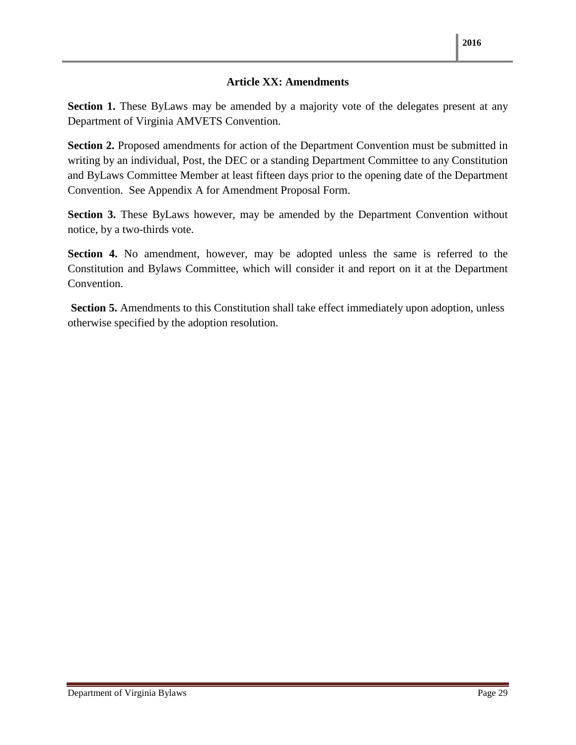#### **Article XX: Amendments**

**Section 1.** These ByLaws may be amended by a majority vote of the delegates present at any Department of Virginia AMVETS Convention.

**Section 2.** Proposed amendments for action of the Department Convention must be submitted in writing by an individual, Post, the DEC or a standing Department Committee to any Constitution and ByLaws Committee Member at least fifteen days prior to the opening date of the Department Convention. See Appendix A for Amendment Proposal Form.

**Section 3.** These ByLaws however, may be amended by the Department Convention without notice, by a two-thirds vote.

**Section 4.** No amendment, however, may be adopted unless the same is referred to the Constitution and Bylaws Committee, which will consider it and report on it at the Department Convention.

**Section 5.** Amendments to this Constitution shall take effect immediately upon adoption, unless otherwise specified by the adoption resolution.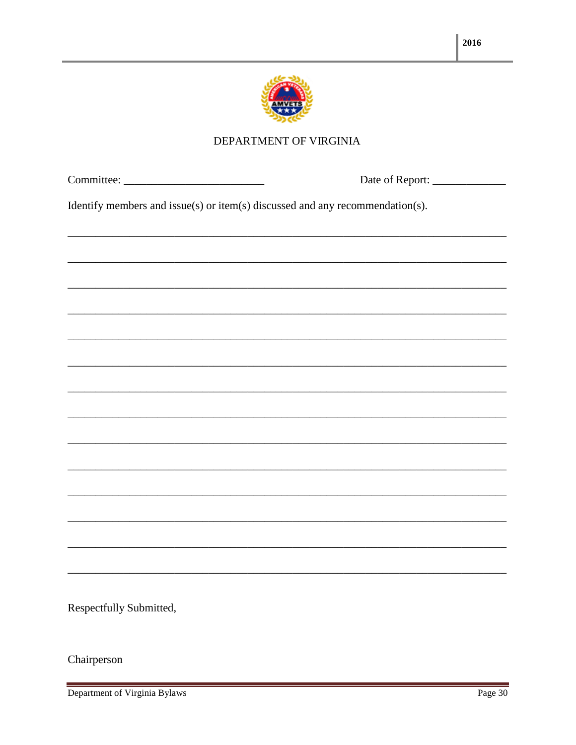

#### DEPARTMENT OF VIRGINIA

| Identify members and issue(s) or item(s) discussed and any recommendation(s). |                                                                                                                      |
|-------------------------------------------------------------------------------|----------------------------------------------------------------------------------------------------------------------|
|                                                                               | <u> 1989 - Johann Barn, amerikan berkema di bandara dalam berkema dalam berkema dalam berkema dalam berkema dala</u> |
|                                                                               |                                                                                                                      |
|                                                                               |                                                                                                                      |
|                                                                               |                                                                                                                      |
|                                                                               |                                                                                                                      |
|                                                                               |                                                                                                                      |
|                                                                               |                                                                                                                      |
|                                                                               |                                                                                                                      |
|                                                                               |                                                                                                                      |
|                                                                               |                                                                                                                      |
|                                                                               |                                                                                                                      |
|                                                                               |                                                                                                                      |

Respectfully Submitted,

Chairperson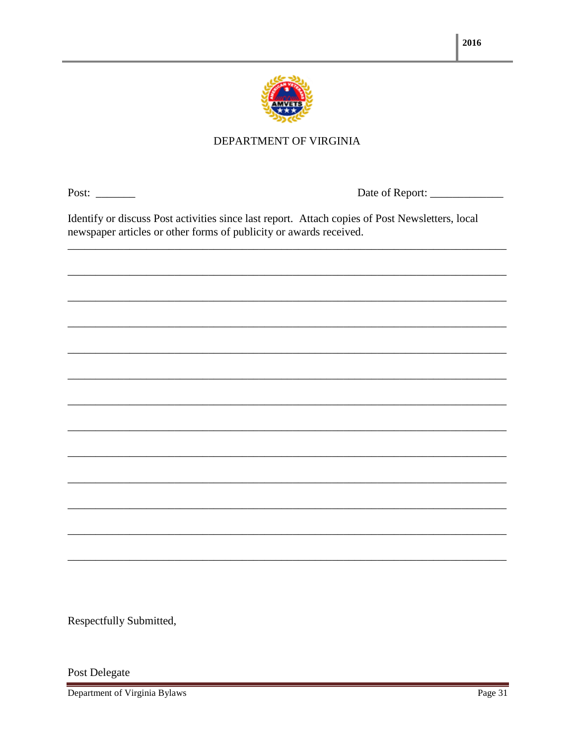

#### DEPARTMENT OF VIRGINIA

Post:  $\qquad$ 

Identify or discuss Post activities since last report. Attach copies of Post Newsletters, local newspaper articles or other forms of publicity or awards received.

Respectfully Submitted,

Post Delegate

Department of Virginia Bylaws

and the control of the control of the control of the control of the control of the control of the control of the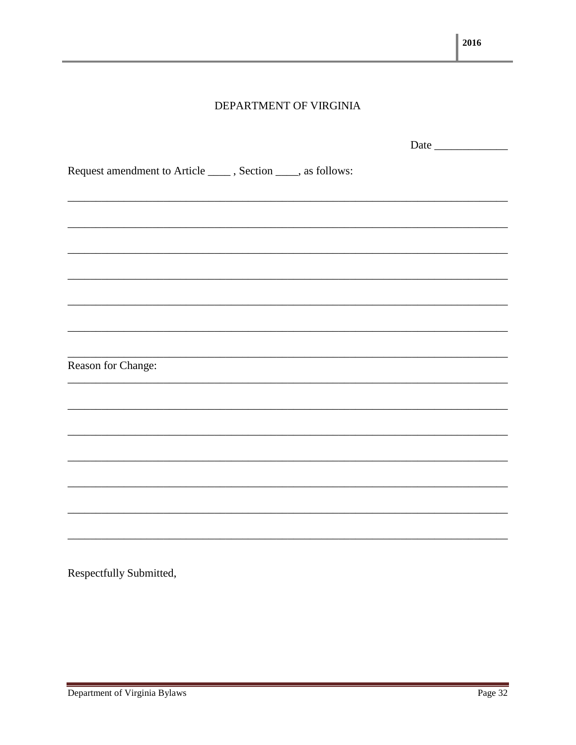#### DEPARTMENT OF VIRGINIA

|                                                                 | Date |
|-----------------------------------------------------------------|------|
| Request amendment to Article ______, Section _____, as follows: |      |
|                                                                 |      |
|                                                                 |      |
|                                                                 |      |
|                                                                 |      |
|                                                                 |      |
|                                                                 |      |
| Reason for Change:                                              |      |
|                                                                 |      |
|                                                                 |      |
|                                                                 |      |
|                                                                 |      |
|                                                                 |      |
|                                                                 |      |
|                                                                 |      |

Respectfully Submitted,